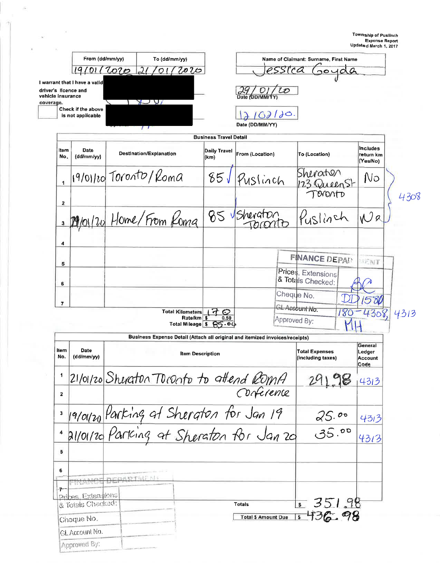|                                | From (dd/mm/yy)                                       | To (dd/mm/yy)                                                                      |                                                                                   | Name of Claimant: Surname, First Name |                                            |                                             |  |
|--------------------------------|-------------------------------------------------------|------------------------------------------------------------------------------------|-----------------------------------------------------------------------------------|---------------------------------------|--------------------------------------------|---------------------------------------------|--|
|                                | 19/0112020                                            | 21<br>01/2020                                                                      |                                                                                   |                                       | 00400                                      |                                             |  |
| vehicle insurance<br>coverage. | I warrant that I have a valid<br>driver's licence and | $\overline{v}$                                                                     |                                                                                   | Date (DD/MM/YY)                       | $\iota$                                    |                                             |  |
|                                | Check if the above<br>is not applicable               | $\prime$                                                                           |                                                                                   | 102120<br>Date (DD/MM/YY)             |                                            |                                             |  |
|                                |                                                       |                                                                                    | <b>Business Travel Detail</b>                                                     |                                       |                                            |                                             |  |
| ltem<br>No.                    | Date<br>(dd/mm/yy)                                    | <b>Destination/Explanation</b>                                                     | <b>Daily Travel</b><br>(km)                                                       | From (Location)                       | To (Location)                              | <b>Includes</b><br>return km<br>(Yes/No)    |  |
| $\overline{\mathbf{1}}$        |                                                       | $19/011$ tol Toronto/Koma                                                          | 85J                                                                               | Puslinch                              | Sheraton<br>123 Queen St                   | No                                          |  |
| 2                              |                                                       |                                                                                    |                                                                                   |                                       | <b>BYDATO</b>                              |                                             |  |
| 3                              |                                                       | 19/01/20 Home/From Roma                                                            |                                                                                   | 85 Sheraton                           | Puslinch                                   | Wa                                          |  |
| 4                              |                                                       |                                                                                    |                                                                                   |                                       |                                            |                                             |  |
| 5                              |                                                       |                                                                                    |                                                                                   |                                       | <b>FINANCE DEPART</b>                      | <b>SENT</b>                                 |  |
| 6                              |                                                       |                                                                                    |                                                                                   |                                       | Prices, Extensions<br>& Totals Checked:    |                                             |  |
| 7                              |                                                       |                                                                                    |                                                                                   |                                       | Cheque No.                                 |                                             |  |
|                                |                                                       | <b>Total Kilometers</b>                                                            | 7<br>$\bm{\mathcal{O}}$<br>Rate/km \$<br>0.50<br>85.00<br><b>Total Mileage \$</b> |                                       | GL Account No.<br>Approved By:             | 4313                                        |  |
|                                |                                                       | Business Expense Detail (Attach all original and itemized invoices/receipts)       |                                                                                   |                                       |                                            |                                             |  |
| Item<br>No.                    | Date<br>(dd/mm/yy)                                    |                                                                                    | <b>Item Description</b>                                                           |                                       | <b>Total Expenses</b><br>(including taxes) | General<br>Ledger<br><b>Account</b><br>Code |  |
|                                |                                                       | 21/01/20 Sheraton Toronto to attend RomA                                           |                                                                                   |                                       |                                            | 4313                                        |  |
| $\mathbf{z}$                   |                                                       |                                                                                    |                                                                                   | Conference                            |                                            |                                             |  |
|                                |                                                       | 19/01/20 Parking at Sheraton for Jan 19<br>21/01/20 Parking at Sheraton for Jan 20 | 25.00                                                                             | 4313                                  |                                            |                                             |  |
| 4                              |                                                       |                                                                                    |                                                                                   |                                       | 35.00                                      | 4313                                        |  |
| 5<br>6                         |                                                       |                                                                                    |                                                                                   |                                       |                                            |                                             |  |
| 7-                             |                                                       | 四次级政府生成产人员                                                                         |                                                                                   |                                       |                                            |                                             |  |
|                                | Prices Extentions<br>& Totals Chacked:                |                                                                                    |                                                                                   | <b>Totals</b>                         | 5351.98                                    |                                             |  |
|                                | Cheque No.                                            |                                                                                    |                                                                                   | <b>Total \$ Amount Due</b>            | 436.98<br>\$                               |                                             |  |
|                                | GL Account No.                                        |                                                                                    |                                                                                   |                                       |                                            |                                             |  |

ŝ

 $\sim$   $^{10}$ 

 $\sim$ 

G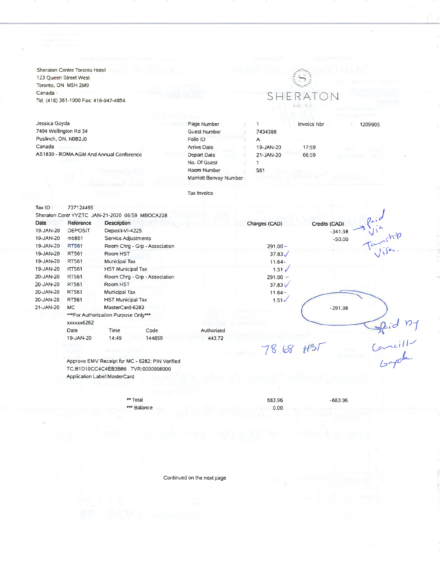Sheraton Centre Toronto Hotel 123 Queen Street West Toronto, ON M5H 2M9 Canada $\cdot$ Tel: (416) 361-1000 Fax: 416-947-4854

Jessica Goyda 7404 Wellington Rd 34 Puslinch, ON, N0B2J0 Canada AS1830 - ROMA AGM And Annual Conference



Invoice Nbr

Page Number  $\mathbf 1$ Guest Number 7434388 Folio ID  $\overline{A}$ Arrive Date 19-JAN-20 21-JAN-20  $\mathbf{1}$ 561

17:59 06:59 1209905

Depart Date No. Of Guest Room Number Marriott Bonvoy Number

Tax Invoice

| Tax $ID$ :  | 737124495                          |                                      |                                                 |            |                |               |                                |  |  |
|-------------|------------------------------------|--------------------------------------|-------------------------------------------------|------------|----------------|---------------|--------------------------------|--|--|
|             |                                    |                                      | Sheraton Centr YYZTC JAN-21-2020 06:59 MBOCA228 |            |                |               |                                |  |  |
| <b>Date</b> | Reference                          | Description                          |                                                 |            | Charges (CAD)  | Credits (CAD) |                                |  |  |
| 19-JAN-20   | <b>DEPOSIT</b>                     | Deposit-VI-4225                      |                                                 |            |                | $-341.98$     |                                |  |  |
| 19-JAN-20   | mb861                              | Service Adjustments                  |                                                 |            |                | $-50.00$      | $\frac{U}{\sqrt{2\pi}}$        |  |  |
| 19-JAN-20   | RT561                              |                                      | Room Chrg - Grp - Association                   |            | $291.00 -$     |               |                                |  |  |
| 19-JAN-20   | RT561                              | Room HST                             |                                                 |            | $37.83\sqrt{}$ |               |                                |  |  |
| 19-JAN-20   | RT561                              | Municipal Tax                        |                                                 |            | $11.64 -$      |               |                                |  |  |
| 19-JAN-20   | <b>RT561</b>                       | <b>HST Municipal Tax</b>             |                                                 |            | $1.51 \sqrt{}$ |               |                                |  |  |
| 20-JAN-20   | RT561                              |                                      | Room Chrg - Grp - Association                   |            | $291.00 -$     |               |                                |  |  |
| 20-JAN-20   | RT561                              | Room HST                             |                                                 |            | $37.83\sqrt{}$ |               |                                |  |  |
| 20-JAN-20   | <b>RT561</b>                       | Municipal Tax                        |                                                 |            | $11.64 -$      |               |                                |  |  |
| 20-JAN-20   | RT561                              | <b>HST Municipal Tax</b>             |                                                 |            | $1.51\sqrt{ }$ |               |                                |  |  |
| 21-JAN-20   | MC.                                | MasterCard-6282                      |                                                 |            |                | $-291.98$     |                                |  |  |
|             | xxxxxx6282                         | ***For Authorization Purpose Only*** |                                                 |            |                |               |                                |  |  |
|             | Date                               | Time                                 | Code                                            | Authorized |                |               |                                |  |  |
|             | 19-JAN-20                          | 14:49                                | 144859                                          | 443.72     |                |               |                                |  |  |
|             |                                    |                                      |                                                 |            | 78.68          |               | grinder<br>Cancillon<br>Goyale |  |  |
|             |                                    |                                      | Approve EMV Receipt for MC - 6282: PIN Verified |            |                |               |                                |  |  |
|             | TC:B1D10CC4C4EB3B86 TVR:0000008000 |                                      |                                                 |            |                |               |                                |  |  |

Approve EMV Receipt for MC - 6282: PIN Verified TC:B1D10CC4C4EB3B86 TVR:0000008000 Application Label: MasterCard

> \*\* Total \*\*\* Balance

683.96  $0.00$   $-683.96$ 

Continued on the next page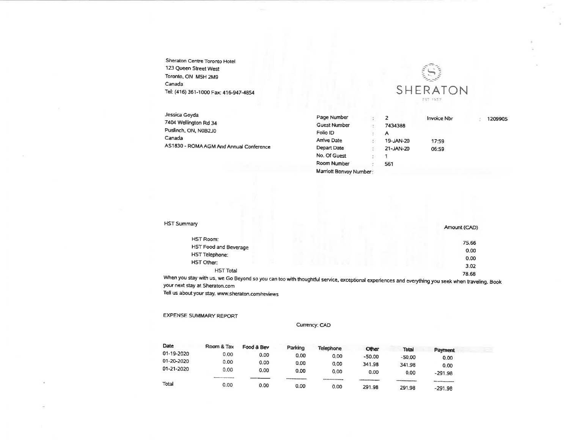Sheraton Centre Toronto Hotel 123 Queen Street West Toronto, ON M5H 2M9 Canada Tel: (416) 361-1000 Fax: 416-947-4854



| Jessica Goyda                           | Page Number         |           | <b>Invoice Nbr</b> | 1209905 |
|-----------------------------------------|---------------------|-----------|--------------------|---------|
| 7404 Wellington Rd 34                   | <b>Guest Number</b> | 7434388   |                    |         |
| Puslinch, ON, N0B2J0                    | Folio ID            | А         |                    |         |
| Canada                                  | <b>Arrive Date</b>  | 19-JAN-20 | 17:59              |         |
| AS1830 - ROMA AGM And Annual Conference | Depart Date         | 21-JAN-20 | 06:59              |         |
|                                         | No. Of Guest        |           |                    |         |

Room Number

Marriott Bonvoy Number:

561

| <b>HST Summary</b>                                                                                                                     | Amount (CAD) |
|----------------------------------------------------------------------------------------------------------------------------------------|--------------|
| HST Room:                                                                                                                              | 75.66        |
| HST Food and Beverage                                                                                                                  |              |
| HST Telephone:                                                                                                                         | 0.00         |
| HST Other:                                                                                                                             | 0.00         |
|                                                                                                                                        | 3.02         |
| <b>HST Total</b>                                                                                                                       | 78.68        |
| When you stay with us, we Go Beyond so you can too with thoughtful service exceptional experiences and over this way seek what the the |              |

experiences and everything you seek when traveling. Book your next stay at Sheraton.com

Tell us about your stay. www.sheraton.com/reviews

## **EXPENSE SUMMARY REPORT**

Currency: CAD

| Date       | Room & Tax | Food & Bev | Parking   | <b>Telephone</b>                      | Other          | Total                       | Payment     |  |
|------------|------------|------------|-----------|---------------------------------------|----------------|-----------------------------|-------------|--|
| 01-19-2020 | 0.00       | 0.00       | 0.00      | 0.00                                  | $-50.00$       | $-50.00$                    | 0.00        |  |
| 01-20-2020 | 0.00       | 0.00       | 0.00      | 0.00                                  | 341.98         | 341.98                      | 0.00        |  |
| 01-21-2020 | 0.00       | 0.00       | 0.00      | 0.00                                  | 0.00           | 0.00                        | $-291.98$   |  |
|            |            |            | _________ | <b><i><u>PRINTED PARALLEL</u></i></b> | -------------- | <b>CONTRACTOR</b><br>______ | ----------- |  |
| Total      | 0.00       | 0.00       | 0.00      | 0.00                                  | 291.98         | 291.98                      | $-291.98$   |  |